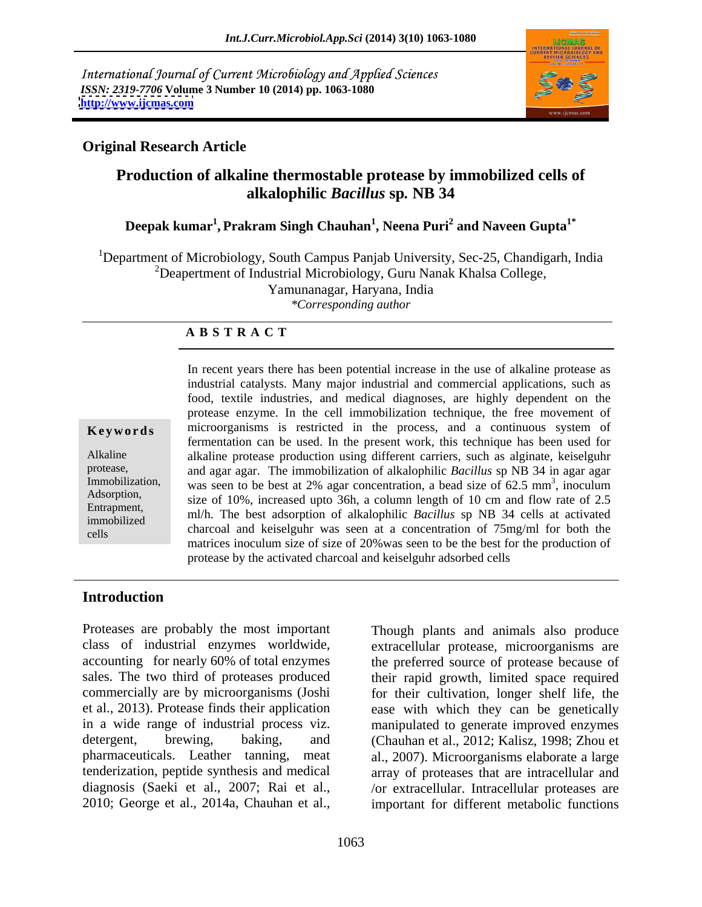International Journal of Current Microbiology and Applied Sciences *ISSN: 2319-7706* **Volume 3 Number 10 (2014) pp. 1063-1080 <http://www.ijcmas.com>**



### **Original Research Article**

### **Production of alkaline thermostable protease by immobilized cells of alkalophilic** *Bacillus* **sp***.* **NB 34**

#### **Deepak kumar<sup>1</sup> , Prakram Singh Chauhan<sup>1</sup> , Neena Puri<sup>2</sup> and Naveen Gupta1\***

<sup>1</sup>Department of Microbiology, South Campus Panjab University, Sec-25, Chandigarh, India  $2D$ eapertment of Industrial Microbiology, Guru Nanak Khalsa College, Yamunanagar, Haryana, India *\*Corresponding author* 

#### **A B S T R A C T**

Entrapment,<br>
ml/h. The best adsorption of alkalophilic *Bacillus* sp NB 34 cells at activated **Keywords** microorganisms is restricted in the process, and a continuous system of Alkaline alkaline protease production using different carriers, such as alginate, keiselguhr protease, and agar agar. The immobilization of alkalophilic *Bacillus* sp NB 34 in agar agar Immobilization, was seen to be best at 2% agar concentration, a bead size of 62.5 mm<sup>3</sup>, inoculum Adsorption,<br>
size of 10%, increased upto 36h, a column length of 10 cm and flow rate of 2.5 immobilized in the best assorbed of all applicate *buchus* sp  $\overline{10}$  stress at activated cells charcoal and keiselguhr was seen at a concentration of 75mg/ml for both the In recent years there has been potential increase in the use of alkaline protease as industrial catalysts. Many major industrial and commercial applications, such as food, textile industries, and medical diagnoses, are highly dependent on the protease enzyme. In the cell immobilization technique, the free movement of fermentation can be used. In the present work, this technique hasbeen used for  $\frac{3}{2}$  in equilism , inoculum matrices inoculum size of size of 20%was seen to be the best for the production of protease by the activated charcoal and keiselguhr adsorbed cells

#### **Introduction**

Proteases are probably the most important class of industrial enzymes worldwide, extracellular protease, microorganisms are accounting for nearly 60% of total enzymes the preferred source of protease because of sales. The two third of proteases produced their rapid growth, limited space required commercially are by microorganisms (Joshi for their cultivation, longer shelf life, the et al., 2013). Protease finds their application ease with which they can be genetically in a wide range of industrial process viz. manipulated to generate improved enzymes detergent, brewing, baking, and (Chauhan et al., 2012; Kalisz, 1998; Zhou et pharmaceuticals. Leather tanning, meat al., 2007). Microorganisms elaborate a large tenderization, peptide synthesis and medical diagnosis (Saeki et al., 2007; Rai et al., Adsorption, we are seven to be easy to the set all simple of allows and the membelized<br>
Entrapment,<br>
Entrapment, size of 10%, increased upto 36h, a column length of 10 cm and flow rate of 2.5<br>
immobilized<br>
charcoal and kei

Though plants and animals also produce array of proteases that are intracellular and /or extracellular. Intracellular proteases are important for different metabolic functions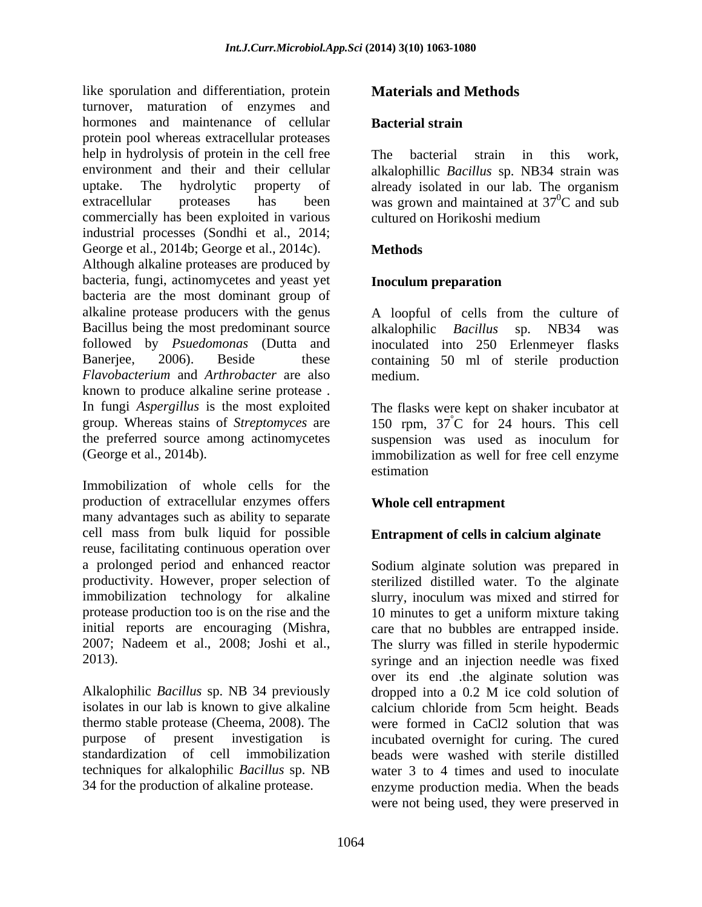like sporulation and differentiation, protein turnover, maturation of enzymes and hormones and maintenance of cellular **Bacterial strain** protein pool whereas extracellular proteases help in hydrolysis of protein in the cell free The bacterial strain in this work. environment and their and their cellular alkalophillic *Bacillus* sp. NB34 strain was uptake. The hydrolytic property of already isolated in our lab. The organism extracellular proteases has been was grown and maintained at  $37^0C$  and sub commercially has been exploited in various industrial processes (Sondhi et al., 2014; George et al., 2014b; George et al., 2014c). Methods Although alkaline proteases are produced by bacteria, fungi, actinomycetes and yeast yet **Inoculum preparation** bacteria are the most dominant group of alkaline protease producers with the genus Bacillus being the most predominant source alkalophilic *Bacillus* sp. NB34 was followed by *Psuedomonas* (Dutta and

Banerjee, 2006). Beside these containing 50 ml of sterile production *Flavobacterium* and *Arthrobacter* are also known to produce alkaline serine protease . In fungi *Aspergillus* is the most exploited group. Whereas stains of *Streptomyces* are 150 rpm, 37 the preferred source among actinomycetes suspension was used as inoculum for

production of extracellular enzymes offers many advantages such as ability to separate cell mass from bulk liquid for possible reuse, facilitating continuous operation over a prolonged period and enhanced reactor Sodium alginate solution was prepared in productivity. However, proper selection of sterilized distilled water. To the alginate immobilization technology for alkaline protease production too is on the rise and the  $10$  minutes to get a uniform mixture taking initial reports are encouraging (Mishra, 2007; Nadeem et al., 2008; Joshi et al., The slurry was filled in sterile hypodermic

### **Materials and Methods**

#### **Bacterial strain**

The bacterial strain in this work,  ${}^{0}C$  and sub cultured on Horikoshi medium

### **Methods**

#### **Inoculum preparation**

A loopful of cells from the culture of alkalophilic *Bacillus* sp. NB34 was inoculated into 250 Erlenmeyer flasks medium.

(George et al., 2014b). Immobilization as well for free cell enzyme<br>Immobilization of whole cells for the The flasks were kept on shaker incubator at °C for 24 hours. This cell immobilization as well for free cell enzyme estimation **example** 

### **Whole cell entrapment**

#### **Entrapment of cells in calcium alginate**

2013). syringe and an injection needle was fixed Alkalophilic *Bacillus* sp. NB 34 previously dropped into a 0.2 M ice cold solution of isolates in our lab is known to give alkaline calcium chloride from 5cm height. Beads thermo stable protease (Cheema, 2008). The were formed in CaCl2 solution that was purpose of present investigation is incubated overnight for curing. The cured standardization of cell immobilization beads were washed with sterile distilled techniques for alkalophilic *Bacillus* sp. NB water 3 to 4 times and used to inoculate 34 for the production of alkaline protease. enzyme production media. When the beads slurry, inoculum was mixed and stirred for care that no bubbles are entrapped inside. over its end .the alginate solution was were not being used, they were preserved in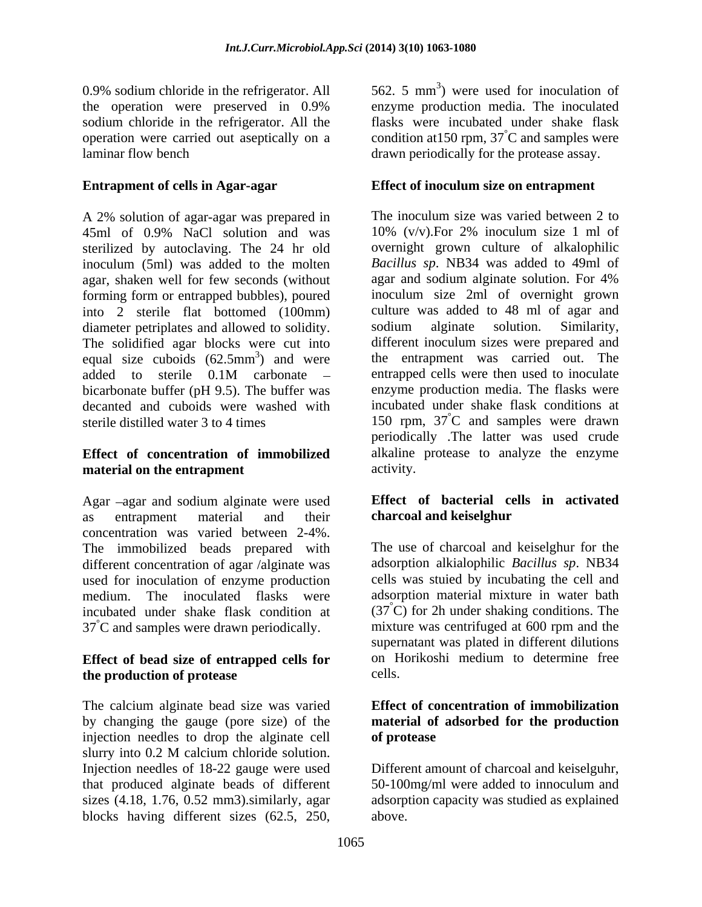0.9% sodium chloride in the refrigerator. All the operation were preserved in 0.9% sodium chloride in the refrigerator. All the laminar flow bench drawn periodically for the protease assay.

A 2% solution of agar-agar was prepared in The inoculum size was varied between 2 to 45ml of 0.9% NaCl solution and was sterilized by autoclaving. The 24 hr old inoculum (5ml) was added to the molten *Bacillus sp*. NB34 was added to 49ml of agar, shaken well for few seconds (without agar and sodium alginate solution. For 4% agar, shaken well for few seconds (without forming form or entrapped bubbles), poured into 2 sterile flat bottomed (100mm) diameter petriplates and allowed to solidity. sodium alginate solution. Similarity, The solidified agar blocks were cut into different inoculum sizes were prepared and equal size cuboids  $(62.5 \text{mm}^3)$  and were the entrapment was carried out. The added to sterile 0.1M carbonate – entrapped cells were then used to inoculate bicarbonate buffer (pH 9.5). The buffer was decanted and cuboids were washed with sterile distilled water 3 to 4 times 150 rpm, 37 °C and samples were drawn

## **material on the entrapment** activity.

Agar -agar and sodium alginate were used as entrapment material and their **charcoal and keiselghur** concentration was varied between 2-4%. The immobilized beads prepared with The use of charcoal and keiselghur for the different concentration of agar /alginate was used for inoculation of enzyme production<br>medium The inoculated flasks were medium. The inoculated flasks were adsorption material mixture in water bath incubated under shake flask condition at  $(37^{\circ}\text{C})$  for 2h under shaking conditions. The 37<sup>°</sup>C and samples were drawn periodically. This mixture was centrifuged at 600 rpm and the

## **the production of protease**

The calcium alginate bead size was varied by changing the gauge (pore size) of the **material of adsorbed for the production** injection needles to drop the alginate cell of protease slurry into 0.2 M calcium chloride solution. Injection needles of 18-22 gauge were used that produced alginate beads of different 50-100mg/ml were added to innoculum and sizes (4.18, 1.76, 0.52 mm3).similarly, agar adsorption capacity was studied as explained blocks having different sizes (62.5, 250,

operation were carried out aseptically on a condition at 150 rpm,  $37^{\circ}$ C and samples were 562. 5 mm 3 ) were used for inoculation of enzyme production media. The inoculated flasks were incubated under shake flask

### **Entrapment of cells in Agar-agar Effect of inoculum size on entrapment**

**Effect of concentration of immobilized** alkaline protease to analyze the enzyme The inoculum size was varied between 2 to 10% (v/v).For 2% inoculum size 1 ml of overnight grown culture of alkalophilic *Bacillus sp*. NB34 was added to 49ml of agar and sodium alginate solution. For 4% inoculum size 2ml of overnight grown culture was added to 48 ml of agar and sodium alginate solution. Similarity, entrapped cells were then used to inoculate enzyme production media. The flasks were incubated under shake flask conditions at °C and samples were drawn periodically .The latter was used crude activity.

#### **Effect of bacterial cells in activated charcoal and keiselghur**

**Effect** of **bead** size of **entrapped** cells for on Horikoshi medium to determine free the production of protesse adsorption alkialophilic *Bacillus sp*. NB34 cells was stuied by incubating the cell and supernatant was plated in different dilutions on Horikoshi medium to determine free cells.

## **Effect of concentration of immobilization of protease**

Different amount of charcoal and keiselguhr, above.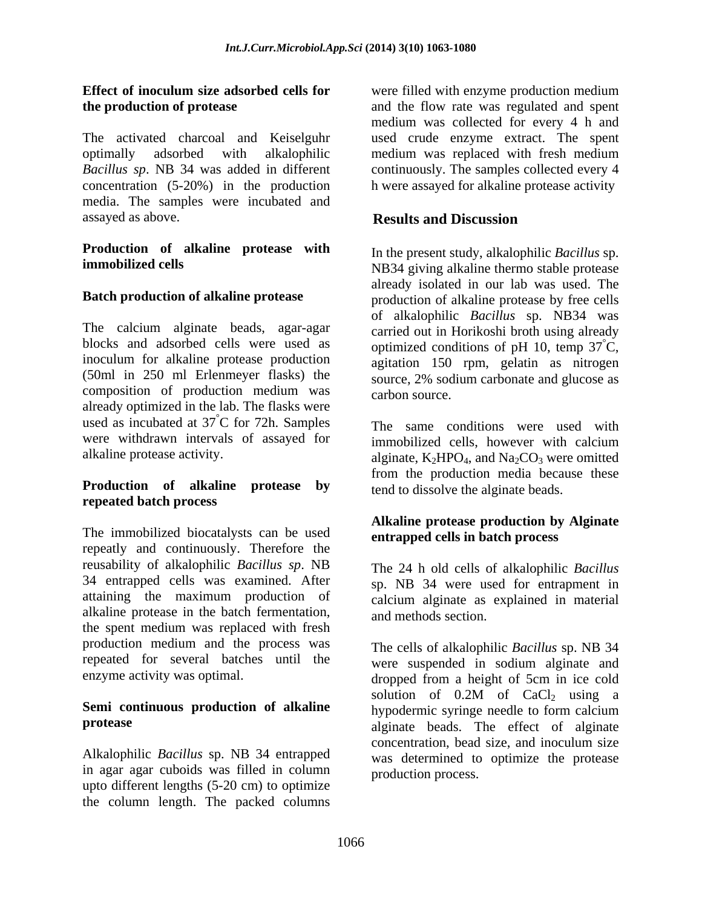The activated charcoal and Keiselguhr used crude enzyme extract. The spent optimally adsorbed with alkalophilic *Bacillus sp*. NB 34 was added in different concentration (5-20%) in the production media. The samples were incubated and assayed as above. **Results and Discussion** 

## **Production of alkaline protease with**

The calcium alginate beads, agar-agar blocks and adsorbed cells were used as optimized conditions of pH 10, temp  $37^{\circ}$ C, inoculum for alkaline protease production agitation 150 rpm, gelatin as nitrogen (50ml in 250 ml Erlenmeyer flasks) the source, 2% sodium carbonate and glucose as composition of production medium was carbon source. already optimized in the lab. The flasks were used as incubated at  $37^{\circ}$ C for 72h. Samples were withdrawn intervals of assayed for immobilized cells, however with calcium

#### **Production of alkaline protease by repeated batch process**

The immobilized biocatalysts can be used repeatly and continuously. Therefore the reusability of alkalophilic *Bacillus sp*. NB 34 entrapped cells was examined. After attaining the maximum production of calcium alginate as explained in material alkaline protease in the batch fermentation, the spent medium was replaced with fresh production medium and the process was repeated for several batches until the

## **Semi continuous production of alkaline**

Alkalophilic *Bacillus* sp. NB 34 entrapped in agar agar cuboids was filled in column upto different lengths (5-20 cm) to optimize the column length. The packed columns

**Effect of inoculum size adsorbed cells for** were filled with enzyme production medium **the production of protease**  and the flow rate was regulated and spent medium was collected for every 4 h and medium was replaced with fresh medium continuously. The samples collected every 4 h were assayed for alkaline protease activity

### **Results and Discussion**

**immobilized cells** NB34 giving alkaline thermo stable protease **Batch production of alkaline protease** production of alkaline protease by free cells In the present study, alkalophilic *Bacillus* sp. already isolated in our lab was used. The of alkalophilic *Bacillus* sp. NB34 was carried out in Horikoshi broth using already  $\overline{C}$ , carbon source.

C for 72h. Samples The same conditions were used with alkaline protease activity.  $\blacksquare$  alginate,  $K_2HPO_4$ , and  $Na_2CO_3$  were omitted The same conditions were used with immobilized cells, however with calcium from the production media because these tend to dissolve the alginate beads.

#### **Alkaline protease production by Alginate entrapped cells in batch process**

The 24 h old cells of alkalophilic *Bacillus* sp. NB 34 were used for entrapment in and methods section.

enzyme activity was optimal. dropped from a height of 5cm in ice cold **protease** alginate beads. The effect of alginate The cells of alkalophilic *Bacillus* sp. NB 34 were suspended in sodium alginate and solution of  $0.2M$  of  $CaCl<sub>2</sub>$  using a hypodermic syringe needle to form calcium concentration, bead size, and inoculum size was determined to optimize the protease production process.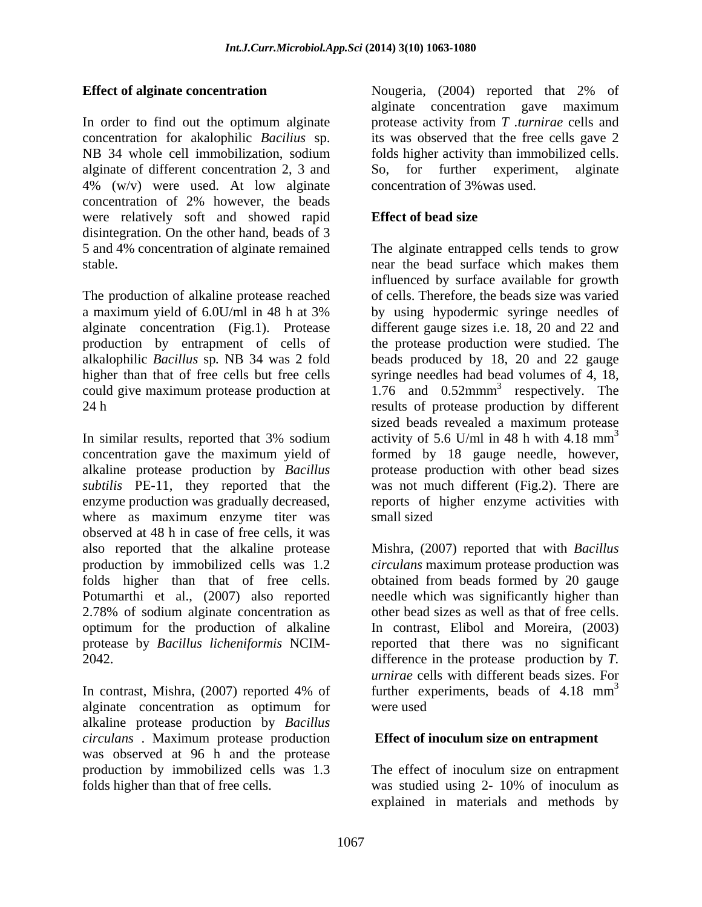NB 34 whole cell immobilization, sodium folds higher activity than immobilized cells. alginate of different concentration 2, 3 and So, for further experiment, alginate 4% (w/v) were used. At low alginate concentration of 2% however, the beads were relatively soft and showed rapid **Effect of bead size** disintegration. On the other hand, beads of 3

The production of alkaline protease reached

In similar results, reported that 3% sodium activity of 5.6 U/ml in 48 h with 4.18  $mm<sup>3</sup>$ concentration gave the maximum yield of formed by 18 gauge needle, however, alkaline protease production by *Bacillus subtilis* PE-11, they reported that the enzyme production was gradually decreased, where as maximum enzyme titer was small sized observed at 48 h in case of free cells, it was also reported that the alkaline protease Mishra, (2007) reported that with *Bacillus*  production by immobilized cells was 1.2 *circulans* maximum protease production was folds higher than that of free cells. obtained from beads formed by 20 gauge Potumarthi et al., (2007) also reported 2.78% of sodium alginate concentration as optimum for the production of alkaline protease by *Bacillus licheniformis* NCIM- reported that there was no significant

alginate concentration as optimum for alkaline protease production by *Bacillus circulans* . Maximum protease production was observed at 96 h and the protease production by immobilized cells was 1.3 The effect of inoculum size on entrapment

**Effect of alginate concentration** Nougeria, (2004) reported that 2% of In order to find out the optimum alginate protease activity from *T .turnirae* cells and concentration for akalophilic *Bacilius* sp. its was observed that the free cells gave 2 alginate concentration gave maximum folds higher activity than immobilized cells.<br>So, for further experiment, alginate concentration of 3%was used.

### **Effect of bead size**

5 and 4% concentration of alginate remained The alginate entrapped cells tends to grow stable. near the bead surface which makes them a maximum yield of 6.0U/ml in 48 h at 3% by using hypodermic syringe needles of alginate concentration (Fig.1). Protease different gauge sizes i.e. 18, 20 and 22 and production by entrapment of cells of the protease production were studied. The alkalophilic *Bacillus* sp*.* NB 34 was 2 fold beads produced by 18, 20 and 22 gauge higher than that of free cells but free cells syringe needles had bead volumes of 4, 18, could give maximum protease production at  $1.76$  and  $0.52$ mmm<sup>3</sup> respectively. The 24 h results of protease production by different influenced by surface available for growth of cells. Therefore, the beads size was varied respectively. The sized beads revealed a maximum protease activity of 5.6 U/ml in 48 h with 4.18  $mm<sup>3</sup>$ 3 protease production with other bead sizes was not much different (Fig.2). There are reports of higher enzyme activities with small sized

2042. difference in the protease production by *T.*  In contrast, Mishra, (2007) reported 4% of further experiments, beads of 4.18 mm<sup>3</sup> needle which was significantly higher than other bead sizes as well as that of free cells. In contrast, Elibol and Moreira, (2003) *urnirae* cells with different beads sizes. For further experiments, beads of  $4.18 \text{ mm}^3$ 3 were used

#### **Effect of inoculum size on entrapment**

folds higher than that of free cells. was studied using 2- 10% of inoculum as explained in materials and methods by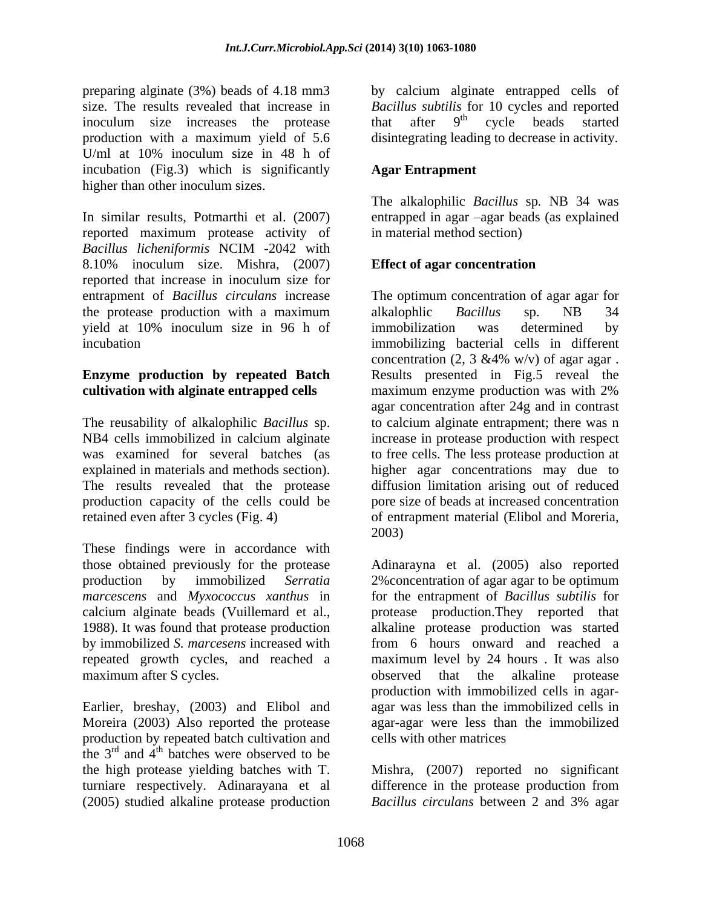inoculum size increases the protease that after  $9<sup>th</sup>$  cycle beads started production with a maximum yield of 5.6 disintegrating leading to decrease in activity. U/ml at 10% inoculum size in 48 h of incubation (Fig.3) which is significantly higher than other inoculum sizes.

In similar results, Potmarthi et al. (2007) entrapped in agar -agar beads (as explained reported maximum protease activity of *Bacillus licheniformis* NCIM -2042 with 8.10% inoculum size. Mishra, (2007) Effect of agar concentration reported that increase in inoculum size for entrapment of *Bacillus circulans* increase The optimum concentration of agar agar for the protease production with a maximum alke alke alke alke all the spacifier spacifier spacifier of the spacifier of the spacifier of the spacifier of the spacifier of the spacifier of the spacifier of the spacifier of the yield at 10% inoculum size in 96 h of

# **Enzyme production by repeated Batch**

These findings were in accordance with maximum after S cycles. The observed that the alkaline protease

Earlier, breshay, (2003) and Elibol and production by repeated batch cultivation and the  $3<sup>rd</sup>$  and  $4<sup>th</sup>$  batches were observed to be the high protease yielding batches with T. Mishra, (2007) reported no significant turniare respectively. Adinarayana et al difference in the protease production from (2005) studied alkaline protease production *Bacillus circulans* between 2 and 3% agar

preparing alginate (3%) beads of 4.18 mm3 by calcium alginate entrapped cells of size. The results revealed that increase in *Bacillus subtilis* for 10 cycles and reported that after  $9<sup>th</sup>$  cycle beads started  $th$   $\alpha$   $\alpha$   $\beta$   $\alpha$   $\alpha$   $\beta$   $\alpha$   $\alpha$   $\beta$   $\alpha$ cycle beads started

### **Agar Entrapment**

The alkalophilic *Bacillus* sp*.* NB 34 was in material method section)

### **Effect of agar concentration**

incubation immobilizing bacterial cells in different **cultivation with alginate entrapped cells** maximum enzyme production was with 2% The reusability of alkalophilic *Bacillus* sp. to calcium alginate entrapment; there wasn NB4 cells immobilized in calcium alginate increase in protease production with respect was examined for several batches (as to free cells. The less protease production at explained in materials and methods section). higher agar concentrations may due to The results revealed that the protease diffusion limitation arising out of reduced production capacity of the cells could be pore size of beads at increased concentration retained even after 3 cycles (Fig. 4) of entrapment material (Elibol and Moreria, alkalophlic *Bacillus* sp. NB 34 immobilization was determined by concentration (2, 3 & 4% w/v) of agar agar. Results presented in Fig.5 reveal the agar concentration after 24g and in contrast 2003)

those obtained previously for the protease Adinarayna et al. (2005) also reported production by immobilized *Serratia*  2%concentration of agar agar to be optimum *marcescens* and *Myxococcus xanthus* in for the entrapment of *Bacillus subtilis* for calcium alginate beads (Vuillemard et al., protease production.They reported that 1988). It was found that protease production alkaline protease production was started by immobilized *S. marcesens* increased with from 6 hours onward and reached a repeated growth cycles, and reached a maximum level by 24 hours . It was also Moreira (2003) Also reported the protease agar-agar were less than the immobilized observed that the alkaline protease production with immobilized cells in agar agar was less than the immobilized cells in cells with other matrices

*Bacillus circulans* between 2 and 3% agar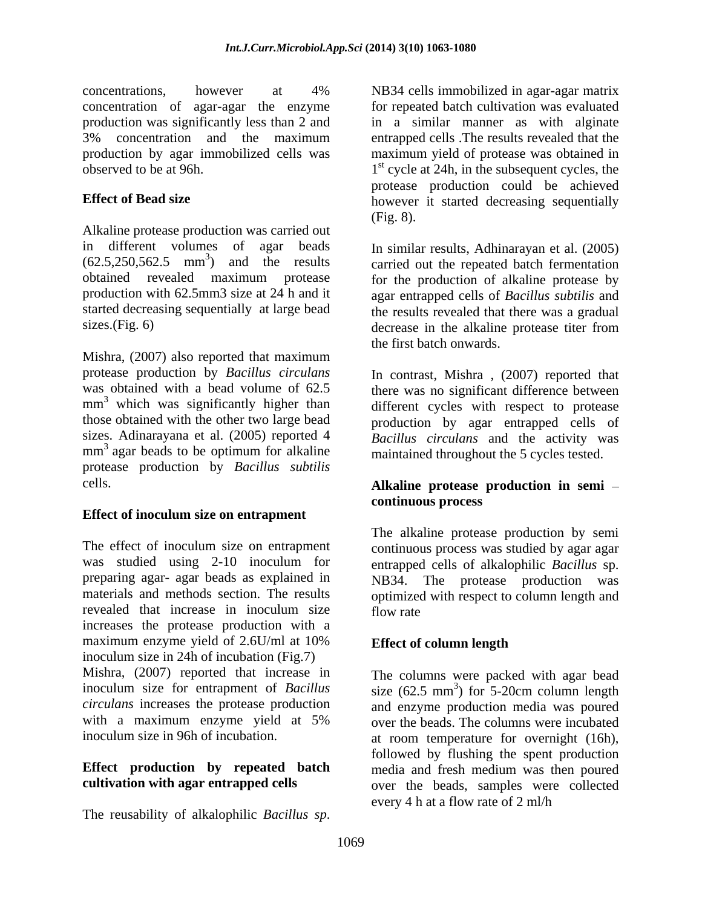concentrations, however at 4% NB34 cells immobilized in agar-agar matrix concentration of agar-agar the enzyme production was significantly less than 2 and in a similar manner as with alginate 3% concentration and the maximum entrapped cells .The results revealed that the production by agar immobilized cells was maximum yield of protease was obtained in observed to be at 96h.  $1<sup>st</sup>$  cycle at 24h, in the subsequent cycles, the

Alkaline protease production was carried out in different volumes of agar beads In similar results, Adhinarayan et al. (2005)  $(62.5, 250, 562.5 \text{ mm}^3)$  and the results carried out the repeated batch fermentation obtained revealed maximum protease for the production of alkaline protease by production with 62.5mm3 size at 24 h and it started decreasing sequentially at large bead the results revealed that there was a gradual

Mishra, (2007) also reported that maximum protease production by *Bacillus circulans*  $mm<sup>3</sup>$  which was significantly higher than mm<sup>3</sup> agar beads to be optimum for alkaline maintained throughout the 5 cycles tested. protease production by *Bacillus subtilis*

#### **Effect of inoculum size on entrapment**

was studied using 2-10 inoculum for entrapped cells of alkalophilic Bacillus sp. preparing agar- agar beads as explained in<br>materials and methods section. The results optimized with respect to column langth and materials and methods section. The results optimized with respect to column length and revealed that increase in inoculum size flow rate increases the protease production with a maximum enzyme yield of 2.6U/ml at 10% **Effect of column length** inoculum size in 24h of incubation (Fig.7) Mishra, (2007) reported that increase in The columns were packed with agar bead inoculum size for entrapment of *Bacillus*  size (62.5 mm 3 *circulans* increases the protease production and enzyme production media was poured with a maximum enzyme yield at 5% over the beads. The columns were incubated concernations, however at 40% in NR4 cells in modelized in agar-agar matrix<br>concernation of agar-agar mis-cargo in  $\alpha$  such that is a specifically assumed to the relation of a specific and in a single means to sell algor

**Effect of Bead size however** it started decreasing sequentially for repeated batch cultivation was evaluated protease production could be achieved (Fig. 8).

sizes.(Fig. 6) decrease in the alkaline protease titer from agar entrapped cells of *Bacillus subtilis* and the first batch onwards.

was obtained with a bead volume of 62.5 there was no significant difference between mm<sup>3</sup> which was significantly higher than different cycles with respect to protease those obtained with the other two large bead production by agar entrapped cells of sizes. Adinarayana et al. (2005) reported 4 *Bacillus circulans* and the activity was  $3$  agar beads to be optimum for alkaline maintained throughout the 5 cycles tested. In contrast, Mishra , (2007) reported that

#### cells. **Alkaline protease production in semi continuous process**

The effect of inoculum size on entrapment continuous process was studied by agar agar The alkaline protease production by semi entrapped cells of alkalophilic *Bacillus* sp. NB34. The protease production was flow rate that the state of  $\sim$ 

### **Effect of column length**

inoculum size in 96h of incubation. at room temperature for overnight (16h), **Effect production by repeated batch** media and fresh medium was then poured **cultivation with agar entrapped cells** over the beads, samples were collected ) for 5-20cm column length followed by flushing the spent production every 4 h at a flow rate of 2 ml/h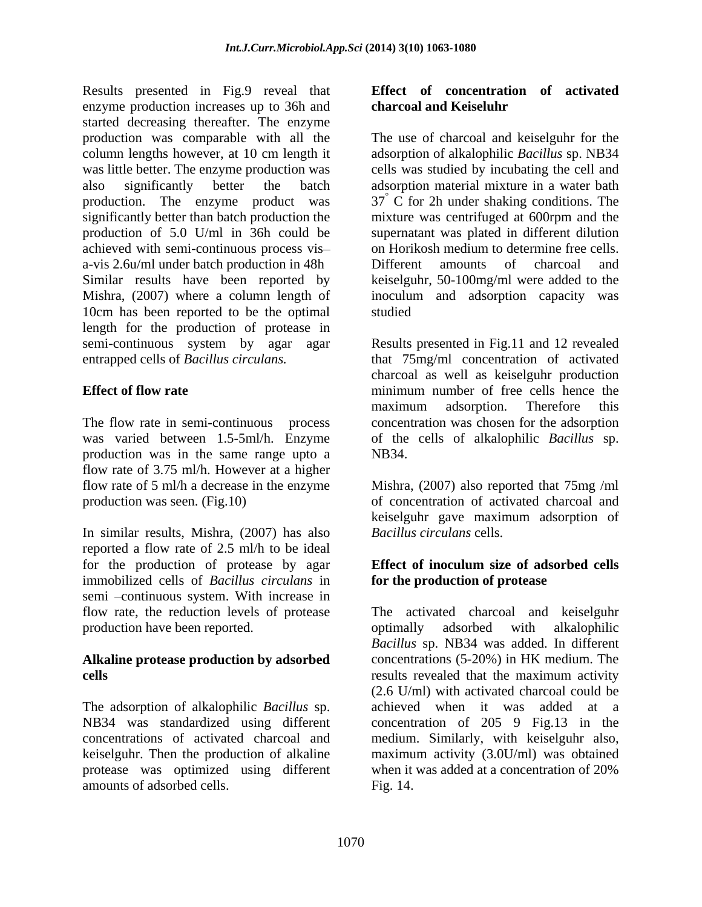Results presented in Fig.9 reveal that enzyme production increases up to 36h and charcoal and Keiseluhr started decreasing thereafter. The enzyme production was comparable with all the The use of charcoal and keiselguhr for the column lengths however, at 10 cm length it adsorption of alkalophilic *Bacillus* sp. NB34 was little better. The enzyme production was cells was studied by incubating the cell and also significantly better the batch adsorption material mixture in a water bath production. The enzyme product was  $37^\circ$  C for 2h under shaking conditions. The significantly better than batch production the mixture was centrifuged at 600rpm and the production of 5.0 U/ml in 36h could be achieved with semi-continuous process vis a-vis 2.6u/ml under batch production in 48h Similar results have been reported by keiselguhr, 50-100mg/ml were added to the Mishra, (2007) where a column length of inoculum and adsorption capacity was 10cm has been reported to be the optimal length for the production of protease in semi-continuous system by agar agar Results presented in Fig.11 and 12 revealed

was varied between 1.5-5ml/h. Enzyme of the cells of alkalophilic Bacillus sp. production was in the same range upto a flow rate of 3.75 ml/h. However at a higher flow rate of 5 ml/h a decrease in the enzyme Mishra, (2007) also reported that 75mg /ml production was seen. (Fig.10) of concentration of activated charcoal and

In similar results, Mishra, (2007) has also reported a flow rate of 2.5 ml/h to be ideal for the production of protease by agar **Effect of inoculum size of adsorbed cells** immobilized cells of *Bacillus circulans* in semi -continuous system. With increase in production have been reported. The optimally adsorbed with alkalophilic

## **Alkaline protease production by adsorbed**

keiselguhr. Then the production of alkaline protease was optimized using different amounts of adsorbed cells.

#### **Effect of concentration of activated charcoal and Keiseluhr**

supernatant was plated in different dilution on Horikosh medium to determine free cells. Different amounts of charcoal and studied **Studied** 

entrapped cells of *Bacillus circulans.* that 75mg/ml concentration of activated **Effect of flow rate** The **minimum** number of free cells hence the The flow rate in semi-continuous process concentration was chosen for the adsorption charcoal as well as keiselguhr production maximum adsorption. Therefore this of the cells of alkalophilic *Bacillus* sp. NB34.

> keiselguhr gave maximum adsorption of *Bacillus circulans* cells.

### **Effect of inoculum size of adsorbed cells for the production of protease**

flow rate, the reduction levels of protease The activated charcoal and keiselguhr **cells** results revealed that the maximum activity The adsorption of alkalophilic *Bacillus* sp. achieved when it was added at a<br>NB34 was standardized using different concentration of 205 9 Fig.13 in the concentrations of activated charcoal and medium. Similarly, with keiselguhr also, optimally adsorbed with alkalophilic *Bacillus* sp. NB34 was added. In different concentrations (5-20%) in HK medium. The (2.6 U/ml) with activated charcoal could be achieved when it was added at a concentration of 205 9 Fig.13 in the maximum activity (3.0U/ml) was obtained when it was added at a concentration of 20% Fig. 14.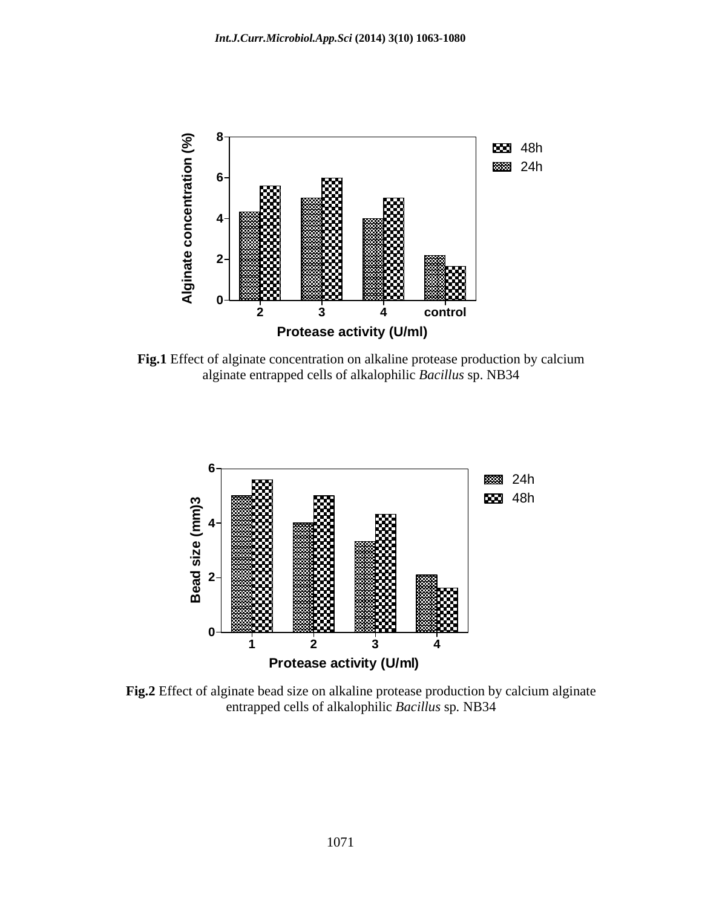

**Fig.1** Effect of alginate concentration on alkaline protease production by calcium alginate entrapped cells of alkalophilic *Bacillus* sp. NB34



**Fig.2** Effect of alginate bead size on alkaline protease production by calcium alginate entrapped cells of alkalophilic *Bacillus* sp*.* NB34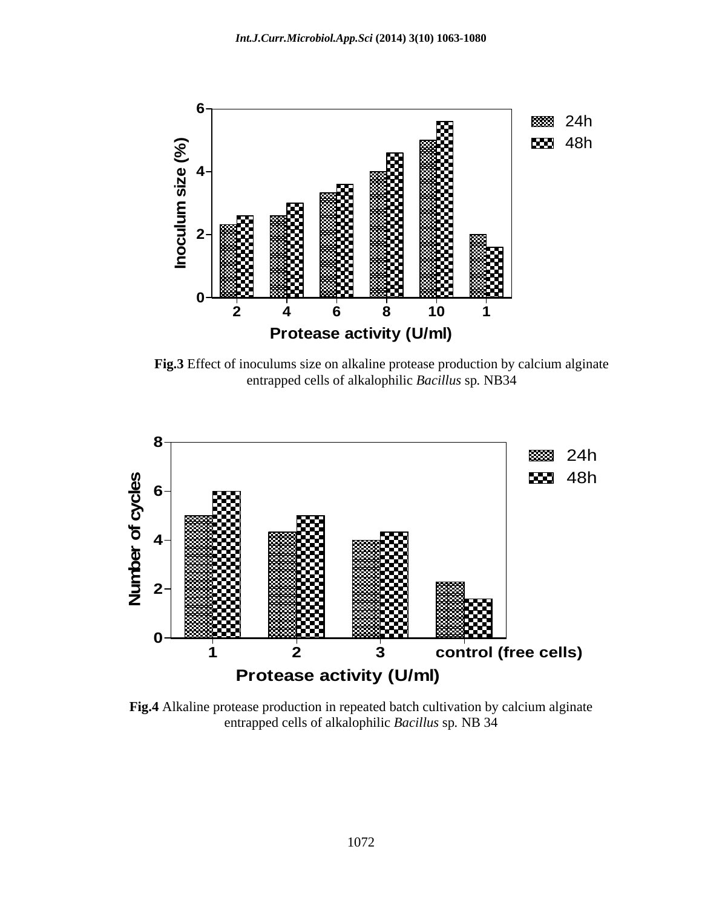

**Fig.3** Effect of inoculums size on alkaline protease production by calcium alginate entrapped cells of alkalophilic *Bacillus* sp*.* NB34



**Fig.4** Alkaline protease production in repeated batch cultivation by calcium alginate entrapped cells of alkalophilic *Bacillus* sp*.* NB 34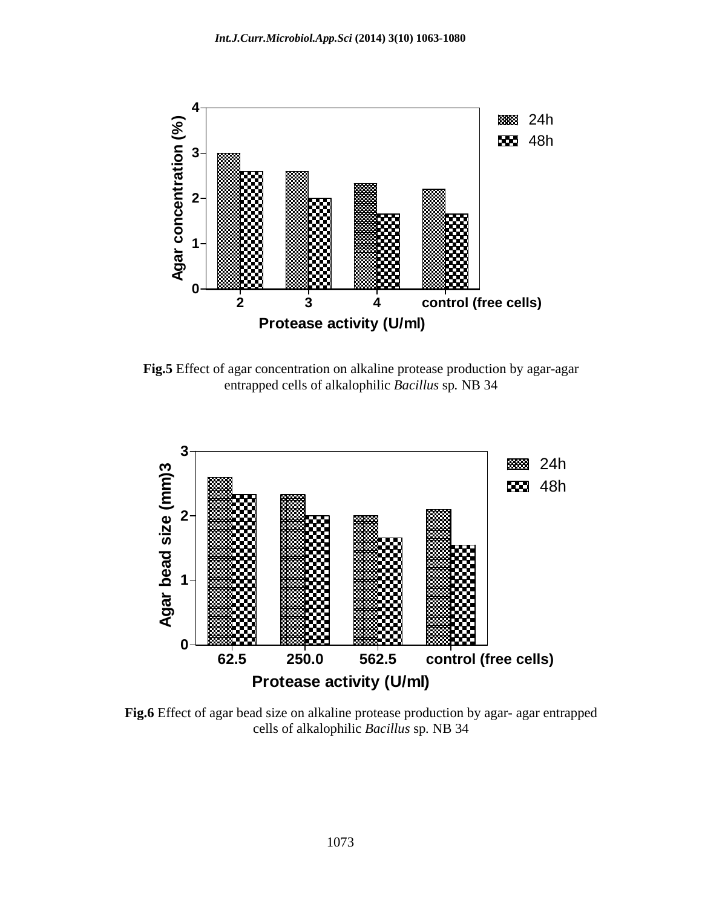

**Fig.5** Effect of agar concentration on alkaline protease production by agar-agar entrapped cells of alkalophilic *Bacillus* sp*.* NB 34



**Fig.6** Effect of agar bead size on alkaline protease production by agar- agar entrapped cells of alkalophilic *Bacillus* sp*.* NB 34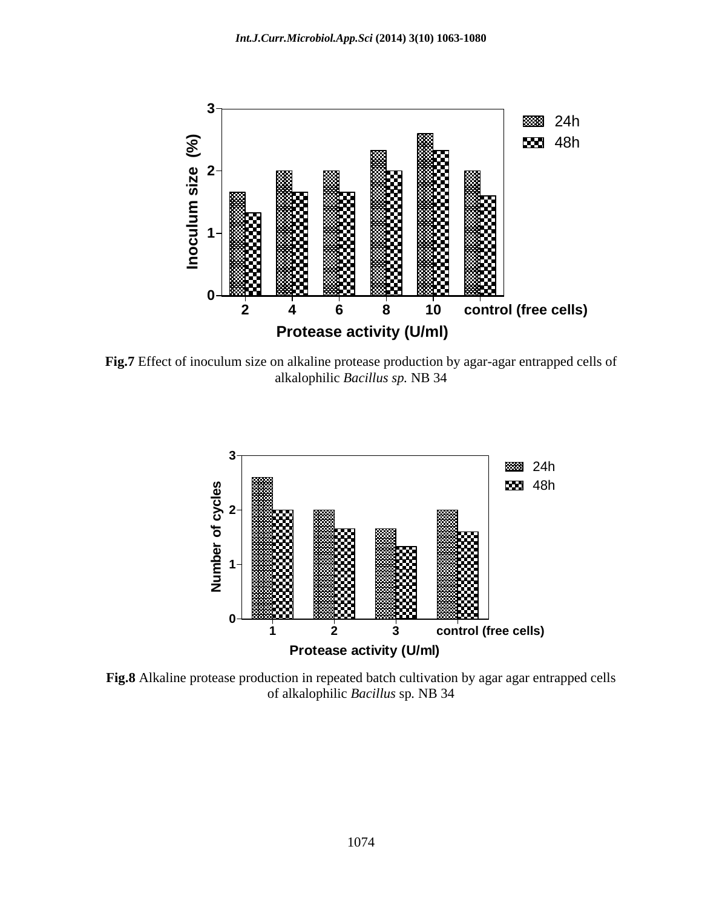

**Fig.7** Effect of inoculum size on alkaline protease production by agar-agar entrapped cells of alkalophilic *Bacillus sp.* NB 34



**Fig.8** Alkaline protease production in repeated batch cultivation by agar agar entrapped cells of alkalophilic *Bacillus* sp*.* NB 34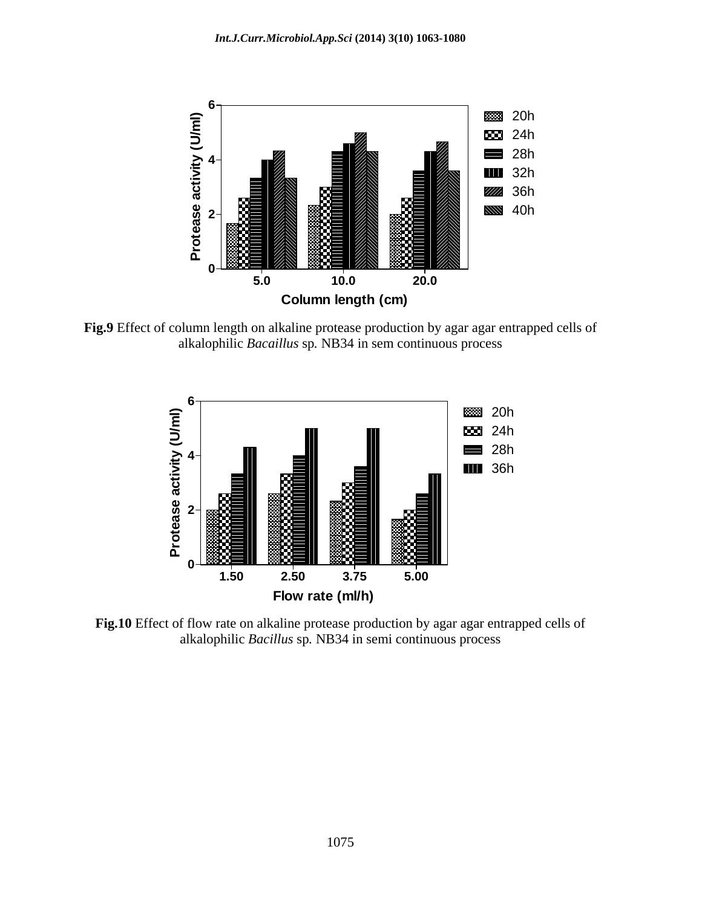

**Fig.9** Effect of column length on alkaline protease production by agar agar entrapped cells of alkalophilic *Bacaillus* sp*.* NB34 in sem continuous process



**Fig.10** Effect of flow rate on alkaline protease production by agar agar entrapped cells of alkalophilic *Bacillus* sp*.* NB34 in semi continuous process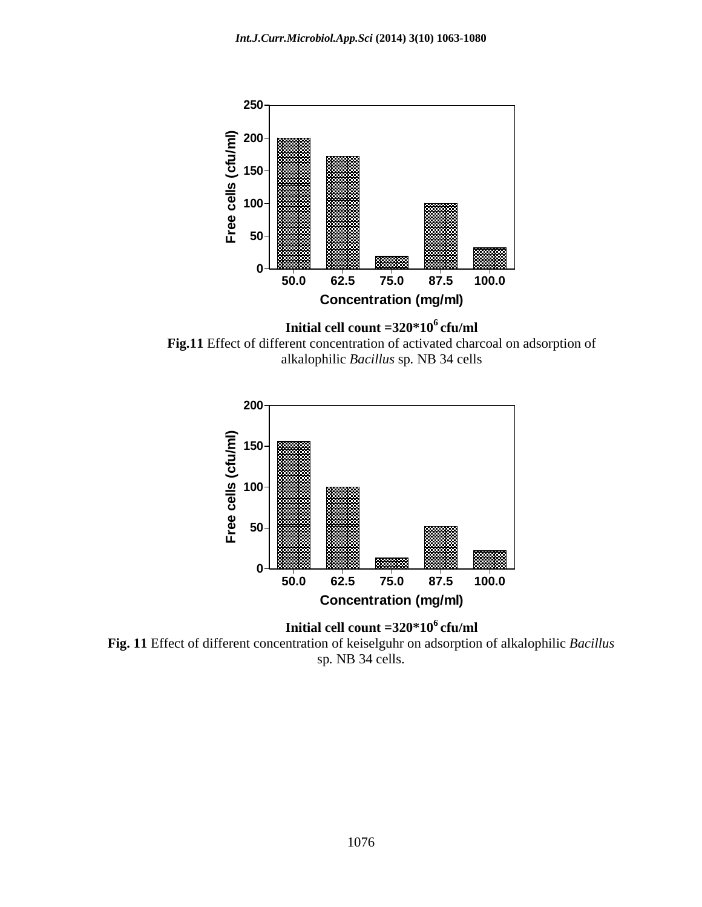

**Initial cell count =320\*106 cfu/ml Fig.11** Effect of different concentration of activated charcoal on adsorption of alkalophilic *Bacillus* sp*.* NB 34 cells



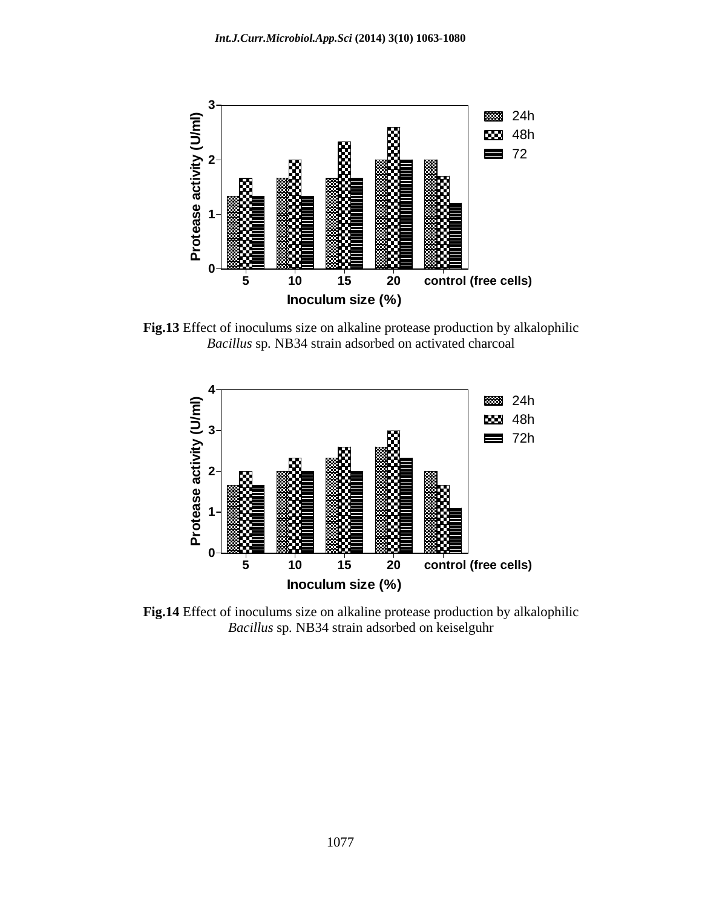

**Fig.13** Effect of inoculums size on alkaline protease production by alkalophilic *Bacillus* sp*.* NB34 strain adsorbed on activated charcoal



**Fig.14** Effect of inoculums size on alkaline protease production by alkalophilic *Bacillus* sp*.* NB34 strain adsorbed on keiselguhr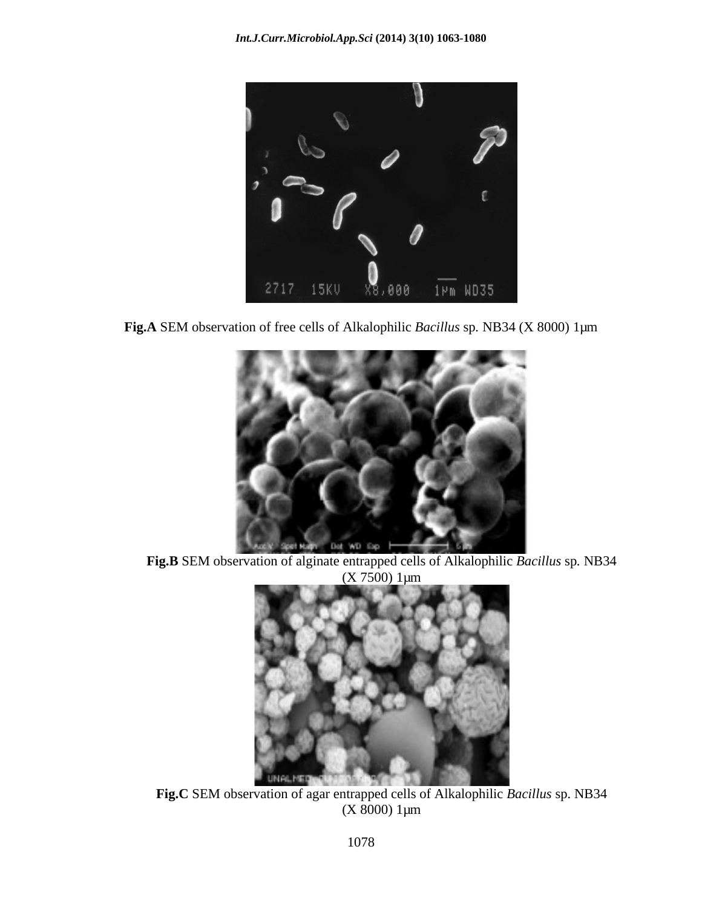

**Fig.A** SEM observation of free cells of Alkalophilic *Bacillus* sp*.* NB34 (X 8000) 1µm



**Fig.B** SEM observation of alginate entrapped cells of Alkalophilic *Bacillus* sp*.* NB34  $(X 7500)$  1 $\mu$ m



**Fig.C** SEM observation of agar entrapped cells of Alkalophilic *Bacillus* sp. NB34 (X 8000) 1µm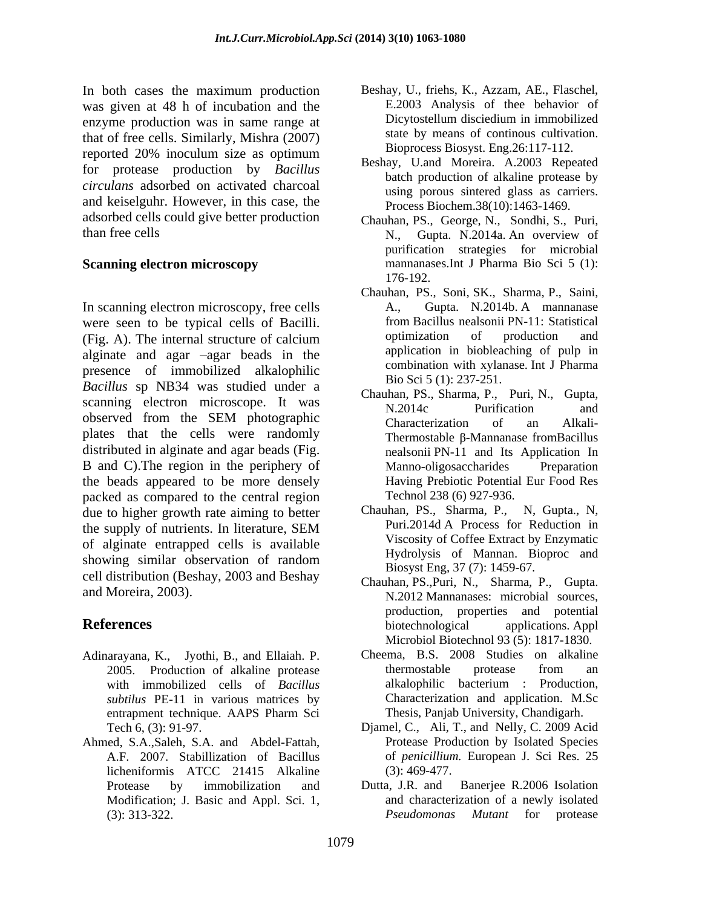In both cases the maximum production was given at 48 h of incubation and the E.2003 Analysis of the behavior of enzyme production was in same range at Dicytostellum disciedium in immobilized enzyme production was in same range at that of free cells. Similarly, Mishra (2007) reported 20% inoculum size as optimum for protease production by *Bacillus circulans* adsorbed on activated charcoal and keiselguhr. However, in this case, the adsorbed cells could give better production than free cells N., Gupta. N. 2014a. An overview of

In scanning electron microscopy, free cells  $A_{1}$ , Gupta. N.2014b. A manuanument were seen to be typical cells of Bacilli. from Bacillus nealsonii PN-11: Statistical<br>(Fig. A) The internal structure of calcium optimization of production and (Fig. A). The internal structure of calcium optimization of production and alginate and agar  $-\text{agar}$  beads in the presence of immobilized alkalophilic *Bacillus* sp NB34 was studied under a scanning electron microscope. It was N.2014c Purification and observed from the SEM photographic Characterization of an Alkaliobserved from the SEM photographic<br>plates that the cells were randomly thermostable Bdistributed in alginate and agar beads (Fig. and The nealsonii PN-11 and Its Application In B and C). The region in the periphery of Manno-oligosaccharides Preparation the beads appeared to be more densely packed as compared to the central region<br>
due to higher growth rate aiming to better<br>
Chauhan, PS., Sharma, P., N, Gupta., N, due to higher growth rate aiming to better the supply of nutrients. In literature, SEM Puri.2014d A Process for Reduction in of alginate entrapped cells is available showing similar observation of random cell distribution (Beshay, 2003 and Beshay

- Adinarayana, K., Jyothi, B., and Ellaiah. P. with immobilized cells of *Bacillus subtilus* PE-11 in various matrices by
- Ahmed, S.A.,Saleh, S.A. and Abdel-Fattah, licheniformis ATCC 21415 Alkaline (3): 313-322. *Pseudomonas Mutant* for protease
- Beshay, U., friehs, K., Azzam, AE., Flaschel, E.2003 Analysis of thee behavior of Dicytostellum disciedium in immobilized state by means of continous cultivation. Bioprocess Biosyst. Eng.26:117-112.
- Beshay, U.and Moreira. A.2003 Repeated batch production of alkaline protease by using porous sintered glass as carriers. Process Biochem.38(10):1463-1469.
- **Scanning electron microscopy** mannanases.Int J Pharma Bio Sci 5 (1): Chauhan, PS., George, N., Sondhi, S., Puri, N., Gupta. N.2014a. An overview of purification strategies for microbial 176-192.
	- Chauhan, PS., Soni, SK., Sharma, P., Saini, A., Gupta. N.2014b. A mannanase from Bacillus nealsonii PN-11: Statistical optimization of production and application in biobleaching of pulp in combination with xylanase. Int J Pharma Bio Sci 5 (1): 237-251.
	- Chauhan, PS., Sharma, P., Puri, N., Gupta, N.2014c Purification and Characterization of an Alkali- Thermostable  $\beta$ -Mannanase fromBacillus nealsonii PN-11 and Its Application In Manno-oligosaccharides Preparation Having Prebiotic Potential Eur Food Res Technol 238 (6) 927-936.
	- Chauhan, PS., Sharma, P., Puri.2014d A Process for Reduction in Viscosity of Coffee Extract by Enzymatic Hydrolysis of Mannan. Bioproc and Biosyst Eng, 37 (7): 1459-67.
- and Moreira, 2003).<br>
N.2012 Mannanases: microbial sources, **References** biotechnological applications. Appl Chauhan, PS.,Puri, N., Sharma, P., Gupta. production, properties and potential biotechnological applications. Appl Microbiol Biotechnol 93 (5): 1817-1830.
	- 2005. Production of alkaline protease thermostable protease from an with immobilized cells of *Bacillus* alkalophilic bacterium : Production, entrapment technique. AAPS Pharm Sci Cheema, B.S. 2008 Studies on alkaline thermostable protease from an alkalophilic bacterium : Production, Characterization and application. M.Sc Thesis, Panjab University, Chandigarh.
	- Tech 6, (3): 91-97. Djamel, C., Ali, T., and Nelly, C. 2009 Acid A.F. 2007. Stabillization of Bacillus of *penicillium.* European J. Sci Res. 25 Protease Production by Isolated Species (3): 469-477.
	- Protease by immobilization and Dutta, J.R. and Banerjee R.2006 Isolation Modification; J. Basic and Appl. Sci. 1, and characterization of a newly isolated Dutta, J.R. and Banerjee R.2006 Isolation